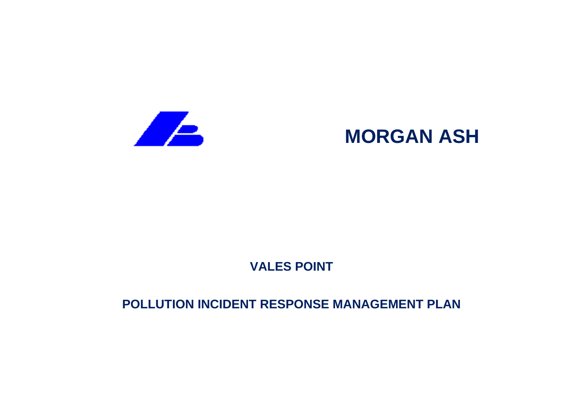

# **MORGAN ASH**

# **VALES POINT**

## **POLLUTION INCIDENT RESPONSE MANAGEMENT PLAN**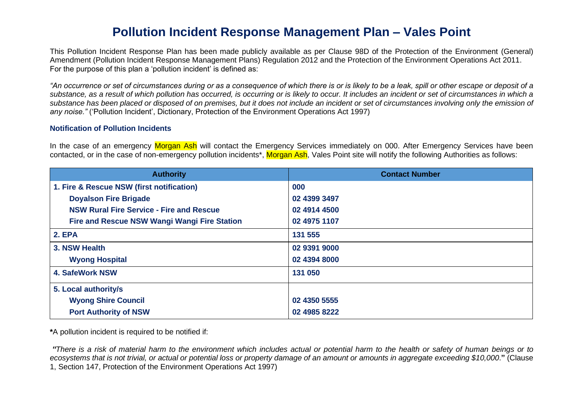### **Pollution Incident Response Management Plan – Vales Point**

This Pollution Incident Response Plan has been made publicly available as per Clause 98D of the Protection of the Environment (General) Amendment (Pollution Incident Response Management Plans) Regulation 2012 and the Protection of the Environment Operations Act 2011. For the purpose of this plan a 'pollution incident' is defined as:

*"An occurrence or set of circumstances during or as a consequence of which there is or is likely to be a leak, spill or other escape or deposit of a substance, as a result of which pollution has occurred, is occurring or is likely to occur. It includes an incident or set of circumstances in which a substance has been placed or disposed of on premises, but it does not include an incident or set of circumstances involving only the emission of any noise."* ('Pollution Incident', Dictionary, Protection of the Environment Operations Act 1997)

#### **Notification of Pollution Incidents**

In the case of an emergency Morgan Ash will contact the Emergency Services immediately on 000. After Emergency Services have been contacted, or in the case of non-emergency pollution incidents<sup>\*</sup>, Morgan Ash, Vales Point site will notify the following Authorities as follows:

| <b>Authority</b>                                | <b>Contact Number</b> |
|-------------------------------------------------|-----------------------|
| 1. Fire & Rescue NSW (first notification)       | 000                   |
| <b>Doyalson Fire Brigade</b>                    | 02 4399 3497          |
| <b>NSW Rural Fire Service - Fire and Rescue</b> | 02 4914 4500          |
| Fire and Rescue NSW Wangi Wangi Fire Station    | 02 4975 1107          |
| <b>2. EPA</b>                                   | 131 555               |
| 3. NSW Health                                   | 02 9391 9000          |
| <b>Wyong Hospital</b>                           | 02 4394 8000          |
| <b>4. SafeWork NSW</b>                          | 131 050               |
| 5. Local authority/s                            |                       |
| <b>Wyong Shire Council</b>                      | 02 4350 5555          |
| <b>Port Authority of NSW</b>                    | 02 4985 8222          |

**\***A pollution incident is required to be notified if:

*"There is a risk of material harm to the environment which includes actual or potential harm to the health or safety of human beings or to ecosystems that is not trivial, or actual or potential loss or property damage of an amount or amounts in aggregate exceeding \$10,000*.**"** (Clause 1, Section 147, Protection of the Environment Operations Act 1997)